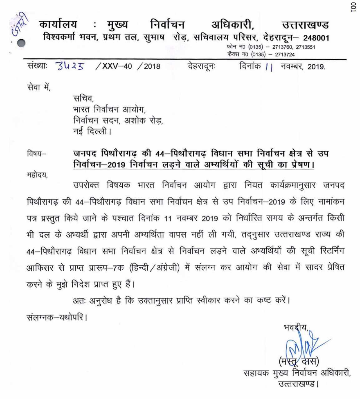: मुख्य निर्वाचन अधिकारी, कार्यालय उत्तराखण्ड विश्वकर्मा भवन, प्रथम तल, सुभाष रोड़, सचिवालय परिसर, देहरादून - 248001 फोन न0 (0135) - 2713760, 2713551 फैक्स न0 (0135) - 2713724 3425 / XXV-40 / 2018 संख्याः देहरादूनः दिनांक ।। नवम्बर, 2019.

सेवा में.

सचिव. भारत निर्वाचन आयोग, निर्वाचन सदन, अशोक रोड. नई दिल्ली।

जनपद पिथौरागढ की 44-पिथौरागढ विधान सभा निर्वाचन क्षेत्र से उप विषय— निर्वाचन-2019 निर्वाचन लड़ने वाले अभ्यर्थियों की सूची का प्रेषण। महोदय,

उपरोक्त विषयक भारत निर्वाचन आयोग द्वारा नियत कार्यक्रमानुसार जनपद पिथौरागढ़ की 44–पिथौरागढ़ विधान सभा निर्वाचन क्षेत्र से उप निर्वाचन–2019 के लिए नामांकन पत्र प्रस्तुत किये जाने के पश्चात दिनांक 11 नवम्बर 2019 को निर्धारित समय के अन्तर्गत किसी भी दल के अभ्यर्थी द्वारा अपनी अभ्यर्थिता वापस नहीं ली गयी, तदनुसार उत्तराखण्ड राज्य की 44-पिथौरागढ विधान सभा निर्वाचन क्षेत्र से निर्वाचन लड़ने वाले अभ्यर्थियों की सूची रिटर्निंग आफिसर से प्राप्त प्रारूप-7क (हिन्दी / अंग्रेजी) में संलग्न कर आयोग की सेवा में सादर प्रेषित करने के मुझे निदेश प्राप्त हुए हैं।

अतः अनुरोध है कि उक्तानुसार प्राप्ति स्वीकार करने का कष्ट करें। संलग्नक–यथोपरि ।

सहायक मुख्य निर्वाचन अधिकारी, उत्तराखण्ड।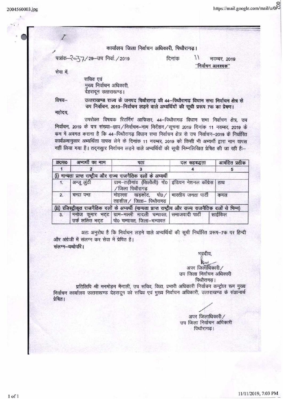2004560003.jpg

https://mail.google.com/mail/u/0.00

## कार्यालय जिला निर्वाचन अधिकारी, पिथौरागढ़।

पत्रांक-२०८७, 29-उप निर्वा. / 2019

दिनांक

 $\frac{1}{2}$ नवम्बर, 2019 "निर्वाचन आवश्यक"

सेवा में,

सचिव एवं मुख्य निर्वाचन अधिकारी, देहरादून उत्ताराखण्ड।

विषय-

उत्तराखण्ड राज्य के जनपद पिथौरागढ़ की 44-पिथौरागढ़ विधान सभा निर्वाचन क्षेत्र से उप निर्वाचन, 2019-निर्वाचन लड़ने वाले अभ्यर्थियों की सूची प्ररूप 7क का प्रेषण।

महोदय

उपरोक्त विषयक रिटर्निंगं आफिसर. 44-पिथौरागढ़ विधान सभा निर्वाचन क्षेत्र, उप निर्वाचन, 2019 के पत्र संख्या-ज्ञाप/निर्वाचन-नाम निर्देशन/सूचना 2019 दिनांक 11 नवम्बर, 2019 के कम में अवगत कराना है कि 44-पिथौरागढ़ विधान सभा निर्वाचन क्षेत्र से उप निर्वाचन-2019 के निर्धारित कार्यक्रमानुसार अभ्यर्थिता वापस लेने के दिनांक 11 नवम्बर, 2019 को किसी भी अभ्यर्थी द्वारा नाम वापस नहीं लिया गया है। तदनसुार निर्वाचन लड़ने वाले अभ्यर्थियों की सूची निम्नलिखित प्रेषित की जा रही है:-

| <b>GHORE</b>                                                                                            | अभ्यर्थी का नाम | पता                                                                                                      | दल सहबद्धता | आवंटित प्रतीक |  |  |  |  |  |  |
|---------------------------------------------------------------------------------------------------------|-----------------|----------------------------------------------------------------------------------------------------------|-------------|---------------|--|--|--|--|--|--|
|                                                                                                         |                 |                                                                                                          |             |               |  |  |  |  |  |  |
| (i) मान्यता प्राप्त राष्ट्रीय और राज्य राजनैतिक दलों के अभ्यर्थी                                        |                 |                                                                                                          |             |               |  |  |  |  |  |  |
| 1.                                                                                                      | अन्जू लुंठी     | ग्राम-तड़ीगांव (सिलौली) पो0 इंडियन नेशनल कॉंग्रेस हाथ<br>/ जिला पिथौरागढ                                 |             |               |  |  |  |  |  |  |
| $\overline{2}$                                                                                          | चन्द्रा पन्त    | मोहल्ला खड़कोट, पो0 / भारतीय जनता पार्टी<br>तहसील / जिला- पिथौरागढ़                                      |             | कमल           |  |  |  |  |  |  |
| (ii) रजिस्ट्रीकृत राजनैतिक दलों के अभ्यर्थी (मान्यता प्राप्त राष्ट्रीय और राज्य राजनैतिक दलों से मिन्न) |                 |                                                                                                          |             |               |  |  |  |  |  |  |
| 3.                                                                                                      |                 | मनोज कुमार भट्ट ग्राम-मल्ली मादली चम्पावत, समाजवादी पार्टी<br>उर्फ ललित भट्ट   पो0 चम्पावत, जिला-चम्पावत |             | साईकिल        |  |  |  |  |  |  |

अतः अनुरोध है कि निर्वाचन लड़ने वाले अभ्यर्थियों की सूची निर्धारित प्ररूप-7क पर हिन्दी और अंग्रेजी में संलग्न कर सेवा में प्रेषित है। संलग्न-यथोपरि।

> अपर जिलाधिकारी/ उप जिला निर्वाचन अधिकारी पिथौरागढ।

भवदीय.

प्रतिलिपि श्री मनमोहन मैनाली, उप सचिव, वित्त, प्रभारी अधिकारी निर्वाचन कन्ट्रोल रूम मुख्य निर्वाचन कार्यालय उत्तराखण्ड देहरादून को सचिव एवं मुख्य निर्वाचन अधिकारी, उत्तराखण्ड के संज्ञानार्थ प्रेषित।

अपर जिलाधिकारी/ उप जिला निर्वाचन अधिकारी पिथौरागढ।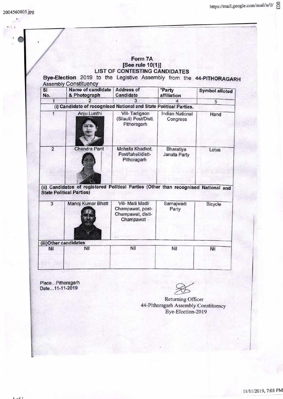|                | Form 7A<br>[See rule 10(1)]<br><b>LIST OF CONTESTING CANDIDATES</b><br>Bye-Election 2019 to the Legistive Assembly from the 44-PITHORAGARH<br><b>Assembly Constituency</b> |                                                                         |                                    |                       |  |  |  |  |
|----------------|----------------------------------------------------------------------------------------------------------------------------------------------------------------------------|-------------------------------------------------------------------------|------------------------------------|-----------------------|--|--|--|--|
| SI<br>No.      | <b>Name of candidate</b><br>& Photograph                                                                                                                                   | <b>Address of</b><br>Candidate                                          | *Party<br>affiliation              | <b>Symbol alloted</b> |  |  |  |  |
| 1              |                                                                                                                                                                            | 3                                                                       |                                    | 5                     |  |  |  |  |
|                | (i) Candidate of recognised National and State Political Parties.                                                                                                          |                                                                         |                                    |                       |  |  |  |  |
| 1              | Anju Lunthi                                                                                                                                                                | Vill-Tadigaon<br>(Silauli) Post/Distt.<br>Pithoragarh                   | <b>Indian National</b><br>Congress | Hand                  |  |  |  |  |
| $\overline{2}$ | <b>Chandra Pant</b><br>(ii) Candidates of registered Political Parties (Other than recognised National and                                                                 | Mohalla Khadkot,<br>Post/tahsil/distt-<br>Pithoragarh                   | Bharatiya<br>Janata Party          | Lotus                 |  |  |  |  |
|                | <b>State Political Parties)</b>                                                                                                                                            |                                                                         |                                    |                       |  |  |  |  |
| 3              | Manoj Kumar Bhatt                                                                                                                                                          | Vill- Malli Madli<br>Champawat, post-<br>Champawat, distt-<br>Champawat | Samajwadi<br>Party                 | Bicycle               |  |  |  |  |
|                | (iii) Other candidates                                                                                                                                                     |                                                                         |                                    |                       |  |  |  |  |
| Nil            | Nil                                                                                                                                                                        | Nil                                                                     | Nil                                | Nil                   |  |  |  |  |

Date...11-11-2019

Returning Officer 44-Pithoragarh Assembly Constituency Bye-Election-20 19